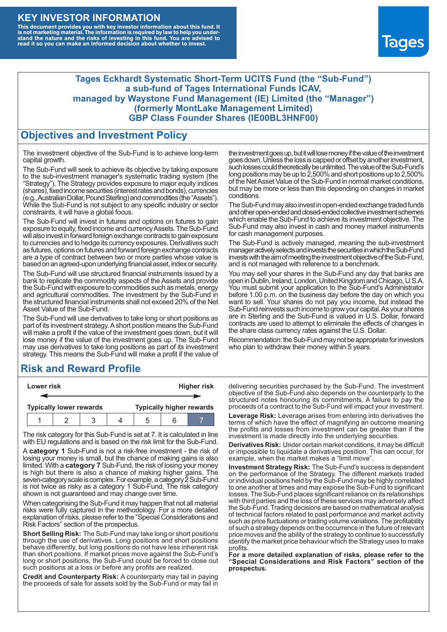### **KEY INVESTOR INFORMATION**

This document provides you with key investor information about this fund. It<br>is not marketing material. The information is required by law to help you under-<br>stand the nature and the risks of investing in this fund. You ar



#### **Tages Eckhardt Systematic Short-Term UCITS Fund (the "Sub-Fund") a sub-fund of Tages International Funds ICAV, managed by Waystone Fund Management (IE) Limited (the "Manager") (formerly MontLake Management Limited) GBP Class Founder Shares (IE00BL3HNF00)**

#### **Objectives and Investment Policy**

The investment objective of the Sub-Fund is to achieve long-term capital growth.

The Sub-Fund will seek to achieve its objective by taking exposure to the sub-investment manager's systematic trading system (the "Strategy"). The Strategy provides exposure to major equity indices (shares),fixed income securities (interest rates and bonds), currencies (e.g.,AustralianDollar,PoundSterling)and commodities (the "Assets"). While the Sub-Fund is not subject to any specific industry or sector constraints, it will have a global focus.

The Sub-Fund will invest in futures and options on futures to gain exposure to equity, fixed income and currency Assets. The Sub-Fund will also invest in forward foreign exchange contracts to gain exposure to currencies and to hedge its currency exposures. Derivatives such as futures, options on futures and forward foreign exchange contracts are a type of contract between two or more parties whose value is based on an agreed-upon underlying financial asset, index or security.

The Sub-Fund will use structured financial instruments issued by a bank to replicate the commodity aspects of the Assets and provide the Sub-Fund with exposure to commodities such as metals, energy and agricultural commodities. The investment by the Sub-Fund in the structured financial instruments shall not exceed 20% of the Net Asset Value of the Sub-Fund.

The Sub-Fund will use derivatives to take long or short positions as part of its investment strategy.A short position means the Sub-Fund will make a profit if the value of the investment goes down, but it will lose money if the value of the investment goes up. The Sub-Fund may use derivatives to take long positions as part of its investment strategy. This means the Sub-Fund will make a profit if the value of

## **Risk and Reward Profile**

| Lower risk |  |                                |  | <b>Higher risk</b> |                                 |  |
|------------|--|--------------------------------|--|--------------------|---------------------------------|--|
|            |  |                                |  |                    |                                 |  |
|            |  | <b>Typically lower rewards</b> |  |                    | <b>Typically higher rewards</b> |  |
|            |  |                                |  | :h                 |                                 |  |

The risk category for this Sub-Fund is set at 7. It is calculated in line with EU regulations and is based on the risk limit for the Sub-Fund.

A **category 1** Sub-Fund is not a risk-free investment - the risk of losing your money is small, but the chance of making gains is also limited. With a **category 7** Sub-Fund, the risk of losing your money is high but there is also a chance of making higher gains. The seven-category scale is complex. For example, a category 2 Sub-Fund is not twice as risky as a category 1 Sub-Fund. The risk category shown is not guaranteed and may change over time.

When categorising the Sub-Fund it may happen that not all material risks were fully captured in the methodology. For a more detailed explanation of risks, please refer to the "Special Considerations and Risk Factors" section of the prospectus.

**Short Selling Risk:** The Sub-Fund may take long or short positions through the use of derivatives. Long positions and short positions behave differently, but long positions do not have less inherent risk than short positions. If market prices move against the Sub-Fund's long or short positions, the Sub-Fund could be forced to close out such positions at a loss or before any profits are realized.

**Credit and Counterparty Risk:** A counterparty may fail in paying the proceeds of sale for assets sold by the Sub-Fund or may fail in the investment goes up, but it will lose money if the value of the investment goes down. Unlessthe loss is capped or offset by another investment, such losses could theoretically be unlimited. The value of the Sub-Fund's long positions may be up to  $2,500\%$  and short positions up to  $2,500\%$ of the NetAsset Value of the Sub-Fund in normal market conditions, but may be more or less than this depending on changes in market conditions.

The Sub-Fund may also invest in open-ended exchange traded funds and other open-ended and closed-ended collective investment schemes which enable the Sub-Fund to achieve its investment objective. The Sub-Fund may also invest in cash and money market instruments for cash management purposes.

The Sub-Fund is actively managed, meaning the sub-investment manager actively selects and invests the securities in which the Sub-Fund invests with the aim of meeting the investment objective of the Sub-Fund, and is not managed with reference to a benchmark.

You may sell your shares in the Sub-Fund any day that banks are open in Dublin, Ireland, London, United Kingdom and Chicago, U.S.A. You must submit your application to the Sub-Fund's Administrator before 1.00 p.m. on the business day before the day on which you want to sell. Your shares do not pay you income, but instead the Sub-Fund reinvests such income to grow your capital. As your shares are in Sterling and the Sub-Fund is valued in U.S. Dollar, forward contracts are used to attempt to eliminate the effects of changes in the share class currency rates against the U.S. Dollar.

Recommendation: the Sub-Fund may not be appropriate for investors who plan to withdraw their money within 5 years.

delivering securities purchased by the Sub-Fund. The investment objective of the Sub-Fund also depends on the counterparty to the structured notes honouring its commitments. A failure to pay the proceeds of a contract to the Sub-Fund will impact your investment.

**Leverage Risk:** Leverage arises from entering into derivatives the terms of which have the effect of magnifying an outcome meaning the profits and losses from investment can be greater than if the investment is made directly into the underlying securities.

**Derivatives Risk:** Under certain market conditions, it may be difficult or impossible to liquidate a derivatives position. This can occur, for example, when the market makes a "limit move".

**Investment Strategy Risk:** The Sub-Fund's success is dependent on the performance of the Strategy. The different markets traded or individual positions held by the Sub-Fund may be highly correlated to one another at times and may expose the Sub-Fund to significant losses. The Sub-Fund places significant reliance on its relationships with third parties and the loss of these services may adversely affect the Sub-Fund. Trading decisions are based on mathematical analysis of technical factors related to past performance and market activity such as price fluctuations or trading volume variations. The profitability of such a strategy depends on the occurrence in the future of relevant price moves and the ability of the strategy to continue to successfully identify the market price behaviour which the Strategy uses to make profits.

**For a more detailed explanation of risks, please refer to the "Special Considerations and Risk Factors" section of the prospectus.**